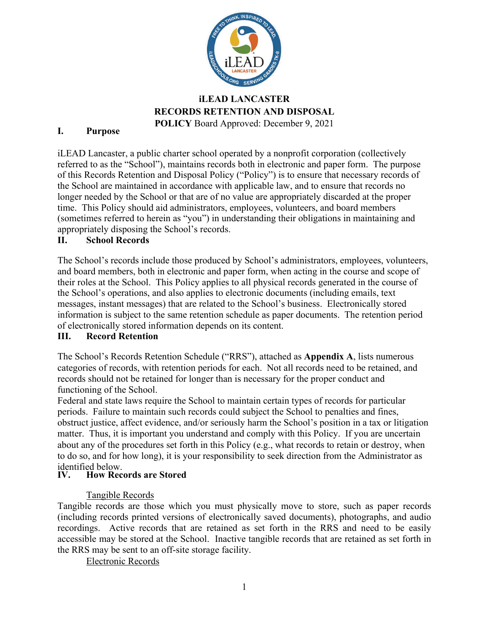

# **iLEAD LANCASTER RECORDS RETENTION AND DISPOSAL POLICY** Board Approved: December 9, 2021

# **I. Purpose**

iLEAD Lancaster, a public charter school operated by a nonprofit corporation (collectively referred to as the "School"), maintains records both in electronic and paper form. The purpose of this Records Retention and Disposal Policy ("Policy") is to ensure that necessary records of the School are maintained in accordance with applicable law, and to ensure that records no longer needed by the School or that are of no value are appropriately discarded at the proper time. This Policy should aid administrators, employees, volunteers, and board members (sometimes referred to herein as "you") in understanding their obligations in maintaining and appropriately disposing the School's records.

# **II. School Records**

The School's records include those produced by School's administrators, employees, volunteers, and board members, both in electronic and paper form, when acting in the course and scope of their roles at the School. This Policy applies to all physical records generated in the course of the School's operations, and also applies to electronic documents (including emails, text messages, instant messages) that are related to the School's business. Electronically stored information is subject to the same retention schedule as paper documents. The retention period of electronically stored information depends on its content.

# **III. Record Retention**

The School's Records Retention Schedule ("RRS"), attached as **Appendix A**, lists numerous categories of records, with retention periods for each. Not all records need to be retained, and records should not be retained for longer than is necessary for the proper conduct and functioning of the School.

Federal and state laws require the School to maintain certain types of records for particular periods. Failure to maintain such records could subject the School to penalties and fines, obstruct justice, affect evidence, and/or seriously harm the School's position in a tax or litigation matter. Thus, it is important you understand and comply with this Policy. If you are uncertain about any of the procedures set forth in this Policy (e.g., what records to retain or destroy, when to do so, and for how long), it is your responsibility to seek direction from the Administrator as identified below.<br>IV. How Reco

# **How Records are Stored**

### Tangible Records

Tangible records are those which you must physically move to store, such as paper records (including records printed versions of electronically saved documents), photographs, and audio recordings. Active records that are retained as set forth in the RRS and need to be easily accessible may be stored at the School. Inactive tangible records that are retained as set forth in the RRS may be sent to an off-site storage facility.

Electronic Records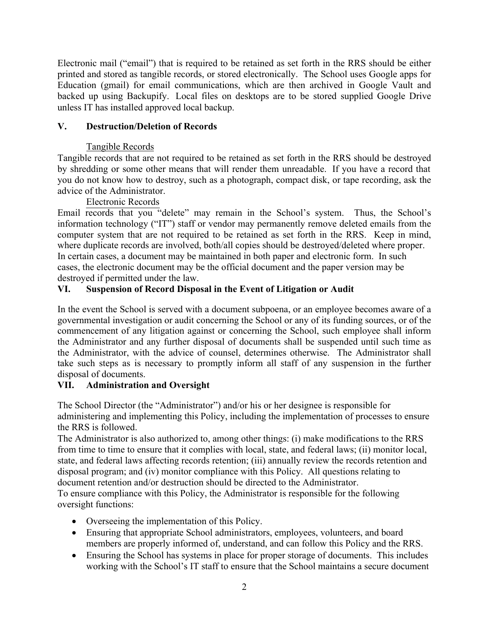Electronic mail ("email") that is required to be retained as set forth in the RRS should be either printed and stored as tangible records, or stored electronically. The School uses Google apps for Education (gmail) for email communications, which are then archived in Google Vault and backed up using Backupify. Local files on desktops are to be stored supplied Google Drive unless IT has installed approved local backup.

# **V. Destruction/Deletion of Records**

# Tangible Records

Tangible records that are not required to be retained as set forth in the RRS should be destroyed by shredding or some other means that will render them unreadable. If you have a record that you do not know how to destroy, such as a photograph, compact disk, or tape recording, ask the advice of the Administrator.

# Electronic Records

Email records that you "delete" may remain in the School's system. Thus, the School's information technology ("IT") staff or vendor may permanently remove deleted emails from the computer system that are not required to be retained as set forth in the RRS. Keep in mind, where duplicate records are involved, both/all copies should be destroyed/deleted where proper. In certain cases, a document may be maintained in both paper and electronic form. In such cases, the electronic document may be the official document and the paper version may be destroyed if permitted under the law.

# **VI. Suspension of Record Disposal in the Event of Litigation or Audit**

In the event the School is served with a document subpoena, or an employee becomes aware of a governmental investigation or audit concerning the School or any of its funding sources, or of the commencement of any litigation against or concerning the School, such employee shall inform the Administrator and any further disposal of documents shall be suspended until such time as the Administrator, with the advice of counsel, determines otherwise. The Administrator shall take such steps as is necessary to promptly inform all staff of any suspension in the further disposal of documents.

# **VII. Administration and Oversight**

The School Director (the "Administrator") and/or his or her designee is responsible for administering and implementing this Policy, including the implementation of processes to ensure the RRS is followed.

The Administrator is also authorized to, among other things: (i) make modifications to the RRS from time to time to ensure that it complies with local, state, and federal laws; (ii) monitor local, state, and federal laws affecting records retention; (iii) annually review the records retention and disposal program; and (iv) monitor compliance with this Policy. All questions relating to document retention and/or destruction should be directed to the Administrator.

To ensure compliance with this Policy, the Administrator is responsible for the following oversight functions:

- Overseeing the implementation of this Policy.
- Ensuring that appropriate School administrators, employees, volunteers, and board members are properly informed of, understand, and can follow this Policy and the RRS.
- Ensuring the School has systems in place for proper storage of documents. This includes working with the School's IT staff to ensure that the School maintains a secure document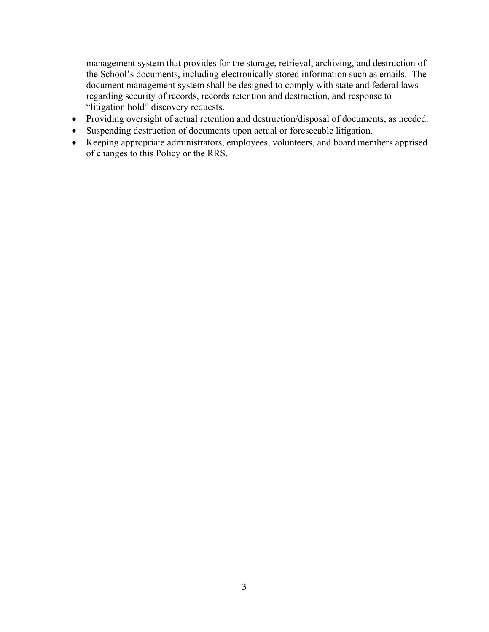management system that provides for the storage, retrieval, archiving, and destruction of the School's documents, including electronically stored information such as emails. The document management system shall be designed to comply with state and federal laws regarding security of records, records retention and destruction, and response to "litigation hold" discovery requests.

- Providing oversight of actual retention and destruction/disposal of documents, as needed.
- Suspending destruction of documents upon actual or foreseeable litigation.
- Keeping appropriate administrators, employees, volunteers, and board members apprised of changes to this Policy or the RRS.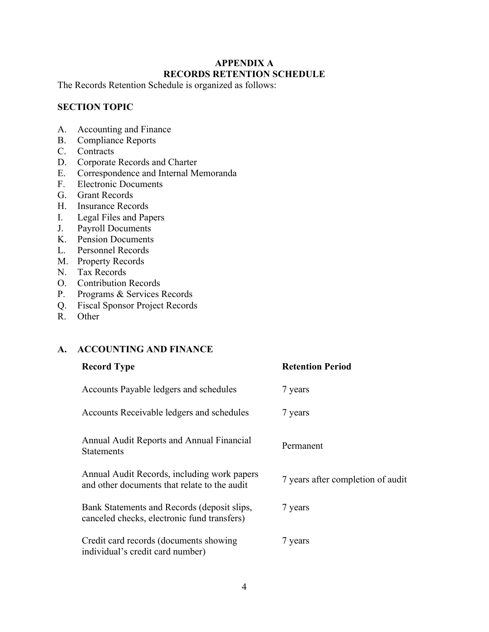# **APPENDIX A RECORDS RETENTION SCHEDULE**

The Records Retention Schedule is organized as follows:

# **SECTION TOPIC**

- A. Accounting and Finance
- B. Compliance Reports
- C. Contracts
- D. Corporate Records and Charter
- E. Correspondence and Internal Memoranda
- F. Electronic Documents
- G. Grant Records
- H. Insurance Records
- I. Legal Files and Papers
- J. Payroll Documents
- K. Pension Documents
- L. Personnel Records
- M. Property Records
- N. Tax Records
- O. Contribution Records
- P. Programs & Services Records
- Q. Fiscal Sponsor Project Records
- R. Other

# **A. ACCOUNTING AND FINANCE**

| <b>Record Type</b>                                                                          | <b>Retention Period</b>           |
|---------------------------------------------------------------------------------------------|-----------------------------------|
| Accounts Payable ledgers and schedules                                                      | 7 years                           |
| Accounts Receivable ledgers and schedules                                                   | 7 years                           |
| Annual Audit Reports and Annual Financial<br><b>Statements</b>                              | Permanent                         |
| Annual Audit Records, including work papers<br>and other documents that relate to the audit | 7 years after completion of audit |
| Bank Statements and Records (deposit slips,<br>canceled checks, electronic fund transfers)  | 7 years                           |
| Credit card records (documents showing<br>individual's credit card number)                  | 7 years                           |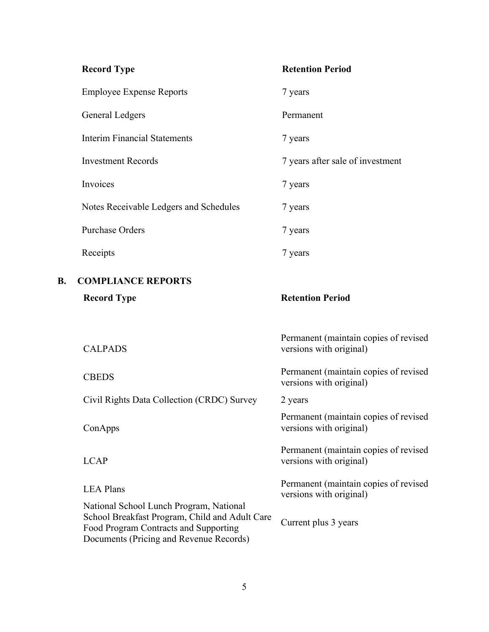|    | <b>Record Type</b>                                                                                                                                                            | <b>Retention Period</b>                                          |
|----|-------------------------------------------------------------------------------------------------------------------------------------------------------------------------------|------------------------------------------------------------------|
|    | <b>Employee Expense Reports</b>                                                                                                                                               | 7 years                                                          |
|    | <b>General Ledgers</b>                                                                                                                                                        | Permanent                                                        |
|    | <b>Interim Financial Statements</b>                                                                                                                                           | 7 years                                                          |
|    | <b>Investment Records</b>                                                                                                                                                     | 7 years after sale of investment                                 |
|    | Invoices                                                                                                                                                                      | 7 years                                                          |
|    | Notes Receivable Ledgers and Schedules                                                                                                                                        | 7 years                                                          |
|    | <b>Purchase Orders</b>                                                                                                                                                        | 7 years                                                          |
|    | Receipts                                                                                                                                                                      | 7 years                                                          |
| B. | <b>COMPLIANCE REPORTS</b>                                                                                                                                                     |                                                                  |
|    | <b>Record Type</b>                                                                                                                                                            | <b>Retention Period</b>                                          |
|    |                                                                                                                                                                               |                                                                  |
|    | <b>CALPADS</b>                                                                                                                                                                | Permanent (maintain copies of revised<br>versions with original) |
|    | <b>CBEDS</b>                                                                                                                                                                  | Permanent (maintain copies of revised<br>versions with original) |
|    | Civil Rights Data Collection (CRDC) Survey                                                                                                                                    | 2 years                                                          |
|    | ConApps                                                                                                                                                                       | Permanent (maintain copies of revised<br>versions with original) |
|    | <b>LCAP</b>                                                                                                                                                                   | Permanent (maintain copies of revised<br>versions with original) |
|    | <b>LEA Plans</b>                                                                                                                                                              | Permanent (maintain copies of revised<br>versions with original) |
|    | National School Lunch Program, National<br>School Breakfast Program, Child and Adult Care<br>Food Program Contracts and Supporting<br>Documents (Pricing and Revenue Records) | Current plus 3 years                                             |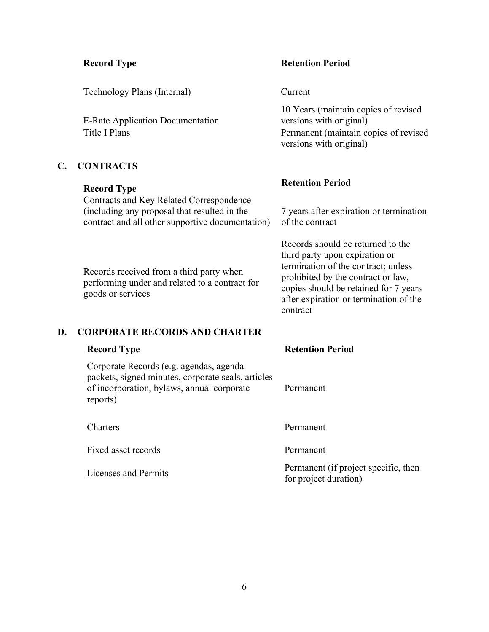Technology Plans (Internal) Current

E-Rate Application Documentation

### **C. CONTRACTS**

Contracts and Key Related Correspondence (including any proposal that resulted in the contract and all other supportive documentation)

Records received from a third party when performing under and related to a contract for goods or services

#### **Record Type Retention Period**

10 Years (maintain copies of revised versions with original) Title I Plans Permanent (maintain copies of revised versions with original)

# **Record Type Retention Period**

7 years after expiration or termination of the contract

Records should be returned to the third party upon expiration or termination of the contract; unless prohibited by the contract or law, copies should be retained for 7 years after expiration or termination of the contract

### **D. CORPORATE RECORDS AND CHARTER**

| <b>Record Type</b>                                                                                                                                      | <b>Retention Period</b>                                       |
|---------------------------------------------------------------------------------------------------------------------------------------------------------|---------------------------------------------------------------|
| Corporate Records (e.g. agendas, agenda<br>packets, signed minutes, corporate seals, articles<br>of incorporation, bylaws, annual corporate<br>reports) | Permanent                                                     |
| Charters                                                                                                                                                | Permanent                                                     |
| Fixed asset records                                                                                                                                     | Permanent                                                     |
| Licenses and Permits                                                                                                                                    | Permanent (if project specific, then<br>for project duration) |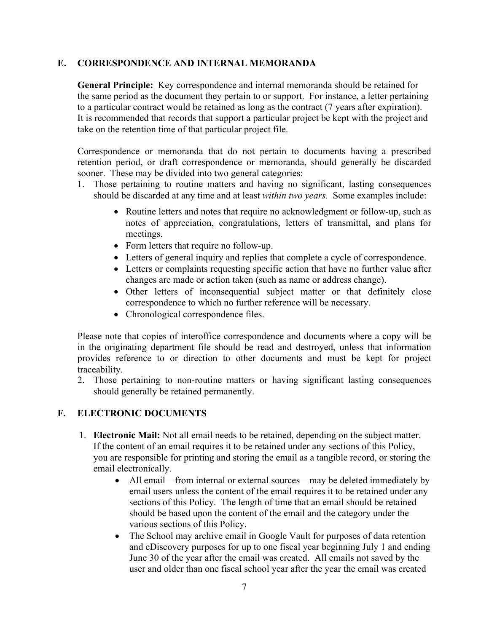### **E. CORRESPONDENCE AND INTERNAL MEMORANDA**

**General Principle:** Key correspondence and internal memoranda should be retained for the same period as the document they pertain to or support. For instance, a letter pertaining to a particular contract would be retained as long as the contract (7 years after expiration). It is recommended that records that support a particular project be kept with the project and take on the retention time of that particular project file.

Correspondence or memoranda that do not pertain to documents having a prescribed retention period, or draft correspondence or memoranda, should generally be discarded sooner. These may be divided into two general categories:

- 1. Those pertaining to routine matters and having no significant, lasting consequences should be discarded at any time and at least *within two years.* Some examples include:
	- Routine letters and notes that require no acknowledgment or follow-up, such as notes of appreciation, congratulations, letters of transmittal, and plans for meetings.
	- Form letters that require no follow-up.
	- Letters of general inquiry and replies that complete a cycle of correspondence.
	- Letters or complaints requesting specific action that have no further value after changes are made or action taken (such as name or address change).
	- Other letters of inconsequential subject matter or that definitely close correspondence to which no further reference will be necessary.
	- Chronological correspondence files.

Please note that copies of interoffice correspondence and documents where a copy will be in the originating department file should be read and destroyed, unless that information provides reference to or direction to other documents and must be kept for project traceability.

2. Those pertaining to non-routine matters or having significant lasting consequences should generally be retained permanently.

### **F. ELECTRONIC DOCUMENTS**

- 1. **Electronic Mail:** Not all email needs to be retained, depending on the subject matter. If the content of an email requires it to be retained under any sections of this Policy, you are responsible for printing and storing the email as a tangible record, or storing the email electronically.
	- All email—from internal or external sources—may be deleted immediately by email users unless the content of the email requires it to be retained under any sections of this Policy. The length of time that an email should be retained should be based upon the content of the email and the category under the various sections of this Policy.
	- The School may archive email in Google Vault for purposes of data retention and eDiscovery purposes for up to one fiscal year beginning July 1 and ending June 30 of the year after the email was created. All emails not saved by the user and older than one fiscal school year after the year the email was created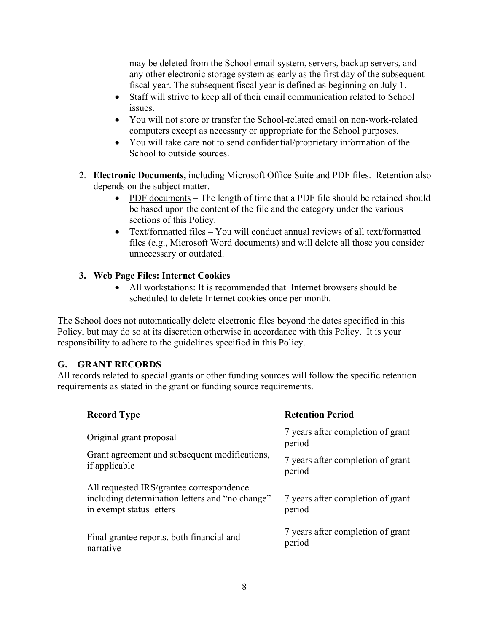may be deleted from the School email system, servers, backup servers, and any other electronic storage system as early as the first day of the subsequent fiscal year. The subsequent fiscal year is defined as beginning on July 1.

- Staff will strive to keep all of their email communication related to School issues.
- You will not store or transfer the School-related email on non-work-related computers except as necessary or appropriate for the School purposes.
- You will take care not to send confidential/proprietary information of the School to outside sources.
- 2. **Electronic Documents,** including Microsoft Office Suite and PDF files. Retention also depends on the subject matter.
	- PDF documents The length of time that a PDF file should be retained should be based upon the content of the file and the category under the various sections of this Policy.
	- Text/formatted files  $-$  You will conduct annual reviews of all text/formatted files (e.g., Microsoft Word documents) and will delete all those you consider unnecessary or outdated.

# **3. Web Page Files: Internet Cookies**

• All workstations: It is recommended that Internet browsers should be scheduled to delete Internet cookies once per month.

The School does not automatically delete electronic files beyond the dates specified in this Policy, but may do so at its discretion otherwise in accordance with this Policy. It is your responsibility to adhere to the guidelines specified in this Policy.

# **G. GRANT RECORDS**

All records related to special grants or other funding sources will follow the specific retention requirements as stated in the grant or funding source requirements.

| <b>Record Type</b>                                                                                                      | <b>Retention Period</b>                     |
|-------------------------------------------------------------------------------------------------------------------------|---------------------------------------------|
| Original grant proposal                                                                                                 | 7 years after completion of grant<br>period |
| Grant agreement and subsequent modifications,<br>if applicable                                                          | 7 years after completion of grant<br>period |
| All requested IRS/grantee correspondence<br>including determination letters and "no change"<br>in exempt status letters | 7 years after completion of grant<br>period |
| Final grantee reports, both financial and<br>narrative                                                                  | 7 years after completion of grant<br>period |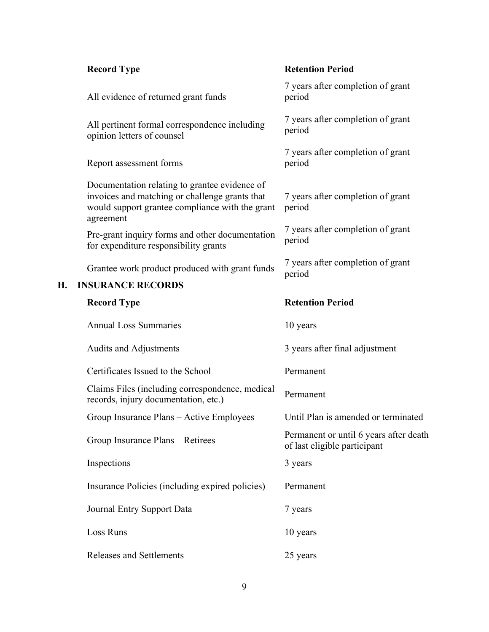|    | <b>Record Type</b>                                                                                                                                              | <b>Retention Period</b>                                                |
|----|-----------------------------------------------------------------------------------------------------------------------------------------------------------------|------------------------------------------------------------------------|
|    | All evidence of returned grant funds                                                                                                                            | 7 years after completion of grant<br>period                            |
|    | All pertinent formal correspondence including<br>opinion letters of counsel                                                                                     | 7 years after completion of grant<br>period                            |
|    | Report assessment forms                                                                                                                                         | 7 years after completion of grant<br>period                            |
|    | Documentation relating to grantee evidence of<br>invoices and matching or challenge grants that<br>would support grantee compliance with the grant<br>agreement | 7 years after completion of grant<br>period                            |
|    | Pre-grant inquiry forms and other documentation<br>for expenditure responsibility grants                                                                        | 7 years after completion of grant<br>period                            |
| Н. | Grantee work product produced with grant funds<br><b>INSURANCE RECORDS</b>                                                                                      | 7 years after completion of grant<br>period                            |
|    |                                                                                                                                                                 |                                                                        |
|    | <b>Record Type</b>                                                                                                                                              | <b>Retention Period</b>                                                |
|    | <b>Annual Loss Summaries</b>                                                                                                                                    | 10 years                                                               |
|    | <b>Audits and Adjustments</b>                                                                                                                                   | 3 years after final adjustment                                         |
|    | Certificates Issued to the School                                                                                                                               | Permanent                                                              |
|    | Claims Files (including correspondence, medical<br>records, injury documentation, etc.)                                                                         | Permanent                                                              |
|    | Group Insurance Plans - Active Employees                                                                                                                        | Until Plan is amended or terminated                                    |
|    | Group Insurance Plans - Retirees                                                                                                                                | Permanent or until 6 years after death<br>of last eligible participant |
|    | Inspections                                                                                                                                                     | 3 years                                                                |
|    | Insurance Policies (including expired policies)                                                                                                                 | Permanent                                                              |
|    | Journal Entry Support Data                                                                                                                                      | 7 years                                                                |
|    | Loss Runs                                                                                                                                                       | 10 years                                                               |
|    |                                                                                                                                                                 |                                                                        |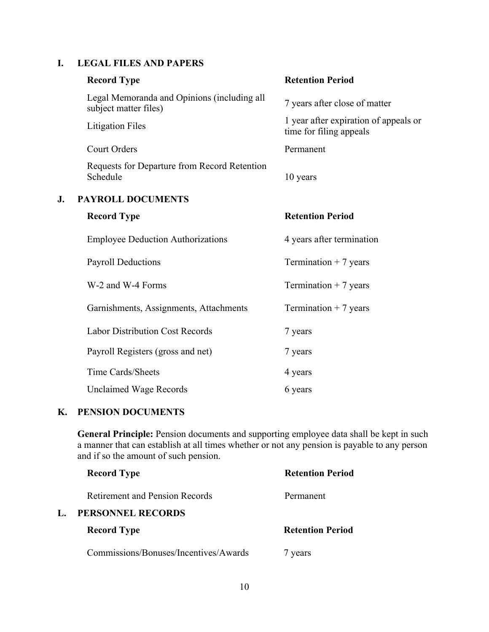# **I. LEGAL FILES AND PAPERS**

|    | <b>Record Type</b>                                                   | <b>Retention Period</b>                                          |
|----|----------------------------------------------------------------------|------------------------------------------------------------------|
|    | Legal Memoranda and Opinions (including all<br>subject matter files) | 7 years after close of matter                                    |
|    | <b>Litigation Files</b>                                              | 1 year after expiration of appeals or<br>time for filing appeals |
|    | <b>Court Orders</b>                                                  | Permanent                                                        |
|    | Requests for Departure from Record Retention<br>Schedule             | 10 years                                                         |
| J. | <b>PAYROLL DOCUMENTS</b>                                             |                                                                  |
|    | <b>Record Type</b>                                                   | <b>Retention Period</b>                                          |
|    | <b>Employee Deduction Authorizations</b>                             | 4 years after termination                                        |
|    | <b>Payroll Deductions</b>                                            | Termination $+7$ years                                           |
|    | W-2 and W-4 Forms                                                    | Termination $+7$ years                                           |
|    | Garnishments, Assignments, Attachments                               | Termination $+7$ years                                           |
|    | <b>Labor Distribution Cost Records</b>                               | 7 years                                                          |
|    | Payroll Registers (gross and net)                                    | 7 years                                                          |
|    | Time Cards/Sheets                                                    | 4 years                                                          |
|    | <b>Unclaimed Wage Records</b>                                        | 6 years                                                          |
|    |                                                                      |                                                                  |

### **K. PENSION DOCUMENTS**

**General Principle:** Pension documents and supporting employee data shall be kept in such a manner that can establish at all times whether or not any pension is payable to any person and if so the amount of such pension.

| <b>Record Type</b>                    | <b>Retention Period</b> |
|---------------------------------------|-------------------------|
| Retirement and Pension Records        | Permanent               |
| PERSONNEL RECORDS                     |                         |
| <b>Record Type</b>                    | <b>Retention Period</b> |
| Commissions/Bonuses/Incentives/Awards | years                   |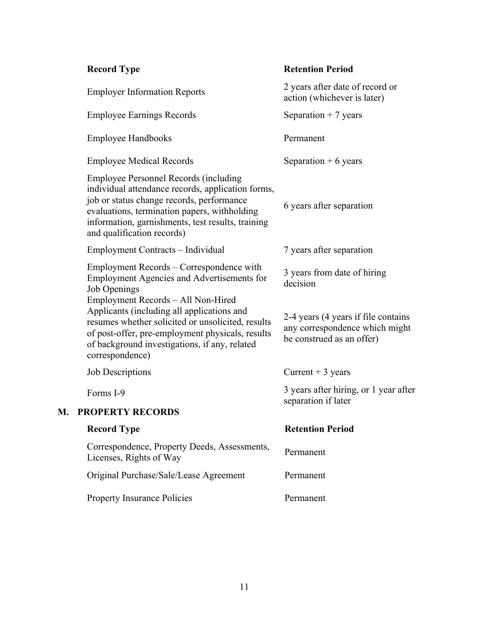| <b>Record Type</b>                                                                                                                                                                                                                                                         | <b>Retention Period</b>                                                                            |
|----------------------------------------------------------------------------------------------------------------------------------------------------------------------------------------------------------------------------------------------------------------------------|----------------------------------------------------------------------------------------------------|
| <b>Employer Information Reports</b>                                                                                                                                                                                                                                        | 2 years after date of record or<br>action (whichever is later)                                     |
| <b>Employee Earnings Records</b>                                                                                                                                                                                                                                           | Separation $+7$ years                                                                              |
| <b>Employee Handbooks</b>                                                                                                                                                                                                                                                  | Permanent                                                                                          |
| <b>Employee Medical Records</b>                                                                                                                                                                                                                                            | Separation $+6$ years                                                                              |
| Employee Personnel Records (including<br>individual attendance records, application forms,<br>job or status change records, performance<br>evaluations, termination papers, withholding<br>information, garnishments, test results, training<br>and qualification records) | 6 years after separation                                                                           |
| Employment Contracts – Individual                                                                                                                                                                                                                                          | 7 years after separation                                                                           |
| Employment Records – Correspondence with<br><b>Employment Agencies and Advertisements for</b><br>Job Openings                                                                                                                                                              | 3 years from date of hiring<br>decision                                                            |
| Employment Records - All Non-Hired<br>Applicants (including all applications and<br>resumes whether solicited or unsolicited, results<br>of post-offer, pre-employment physicals, results<br>of background investigations, if any, related<br>correspondence)              | 2-4 years (4 years if file contains<br>any correspondence which might<br>be construed as an offer) |
| <b>Job Descriptions</b>                                                                                                                                                                                                                                                    | Current $+3$ years                                                                                 |
| Forms I-9                                                                                                                                                                                                                                                                  | 3 years after hiring, or 1 year after<br>separation if later                                       |
| <b>PROPERTY RECORDS</b>                                                                                                                                                                                                                                                    |                                                                                                    |
| <b>Record Type</b>                                                                                                                                                                                                                                                         | <b>Retention Period</b>                                                                            |
| Correspondence, Property Deeds, Assessments,<br>Licenses, Rights of Way                                                                                                                                                                                                    | Permanent                                                                                          |
| Original Purchase/Sale/Lease Agreement                                                                                                                                                                                                                                     | Permanent                                                                                          |
| <b>Property Insurance Policies</b>                                                                                                                                                                                                                                         | Permanent                                                                                          |

**M.**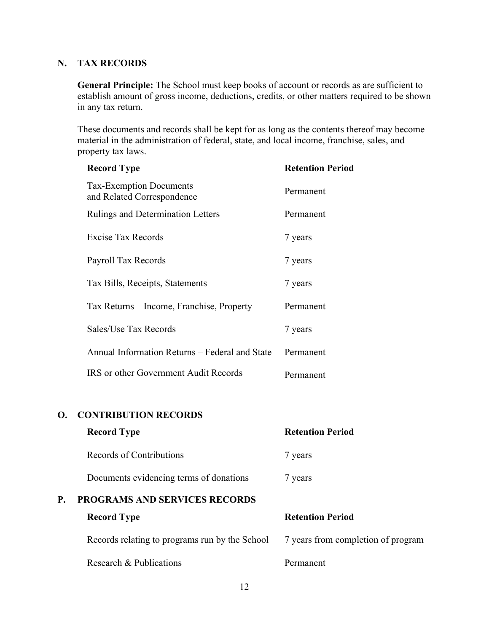# **N. TAX RECORDS**

**General Principle:** The School must keep books of account or records as are sufficient to establish amount of gross income, deductions, credits, or other matters required to be shown in any tax return.

These documents and records shall be kept for as long as the contents thereof may become material in the administration of federal, state, and local income, franchise, sales, and property tax laws.

|           | <b>Record Type</b>                                           | <b>Retention Period</b>            |
|-----------|--------------------------------------------------------------|------------------------------------|
|           | <b>Tax-Exemption Documents</b><br>and Related Correspondence | Permanent                          |
|           | Rulings and Determination Letters                            | Permanent                          |
|           | <b>Excise Tax Records</b>                                    | 7 years                            |
|           | Payroll Tax Records                                          | 7 years                            |
|           | Tax Bills, Receipts, Statements                              | 7 years                            |
|           | Tax Returns – Income, Franchise, Property                    | Permanent                          |
|           | Sales/Use Tax Records                                        | 7 years                            |
|           | Annual Information Returns - Federal and State               | Permanent                          |
|           | IRS or other Government Audit Records                        | Permanent                          |
| <b>O.</b> | <b>CONTRIBUTION RECORDS</b>                                  |                                    |
|           | <b>Record Type</b>                                           | <b>Retention Period</b>            |
|           | <b>Records of Contributions</b>                              | 7 years                            |
|           | Documents evidencing terms of donations                      | 7 years                            |
| P.        | PROGRAMS AND SERVICES RECORDS                                |                                    |
|           | <b>Record Type</b>                                           | <b>Retention Period</b>            |
|           | Records relating to programs run by the School               | 7 years from completion of program |

Research & Publications Permanent